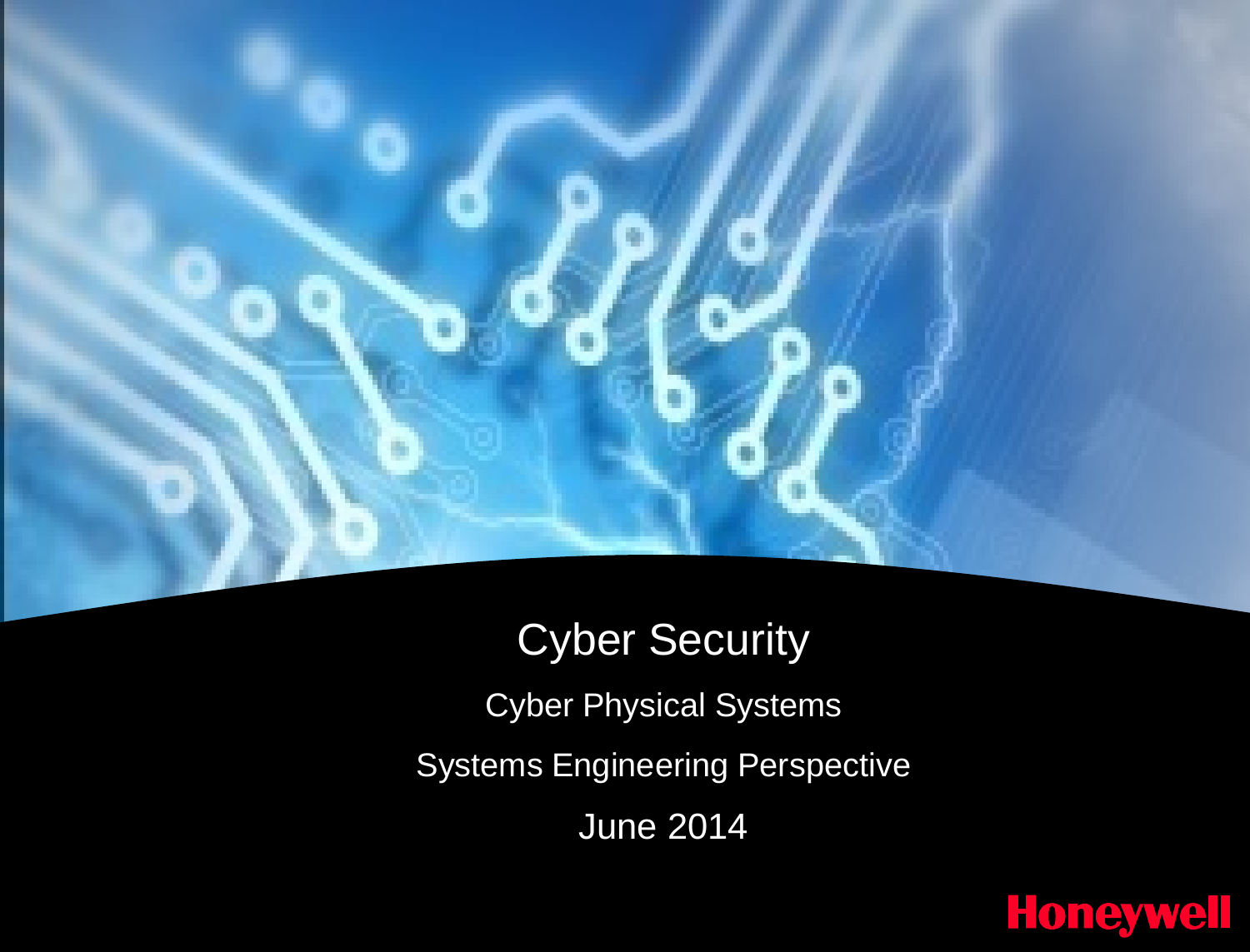## Cyber Security

Cyber Physical Systems

Systems Engineering Perspective

June 2014

## **Honeywell**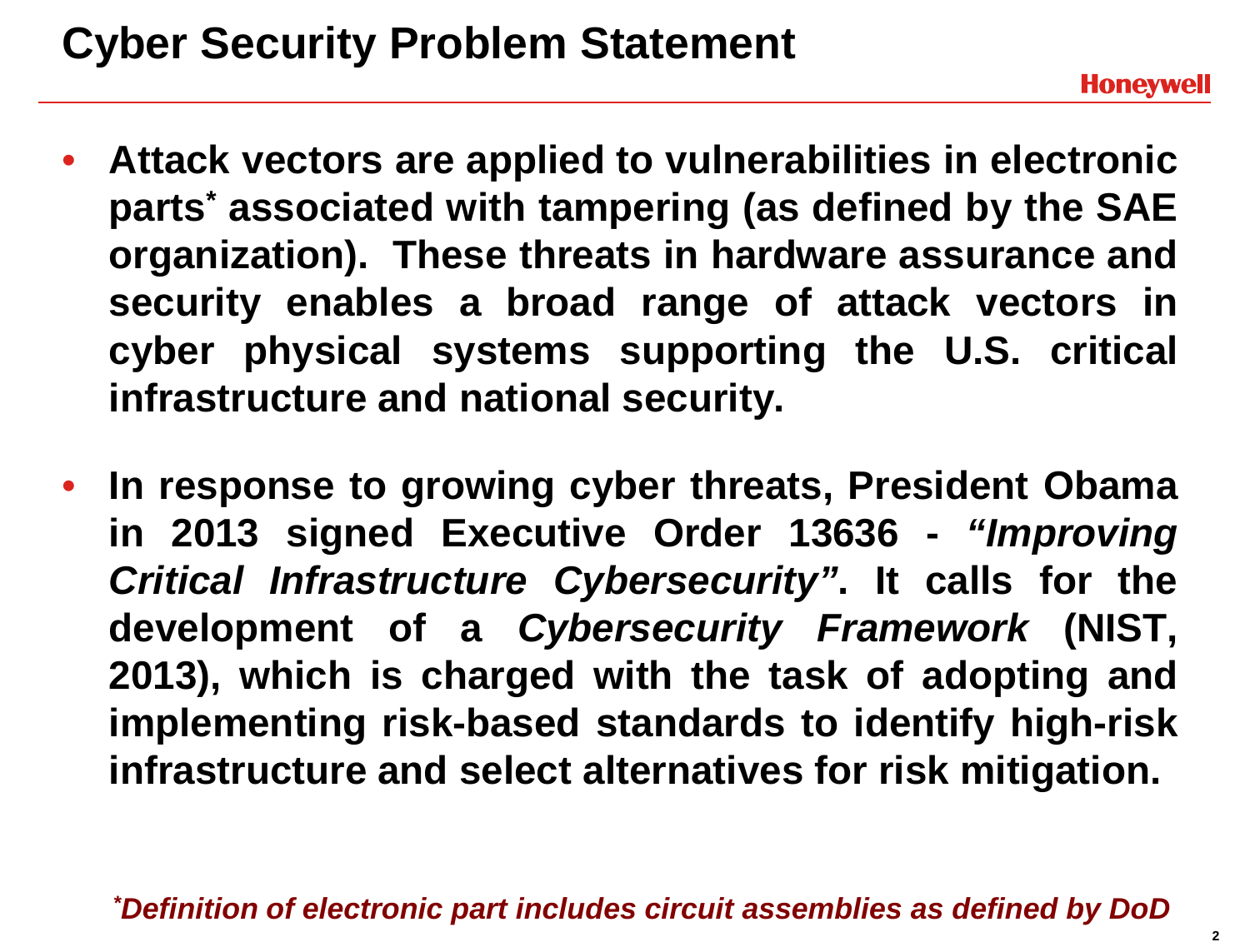## **Cyber Security Problem Statement**

- **Attack vectors are applied to vulnerabilities in electronic parts\* associated with tampering (as defined by the SAE organization). These threats in hardware assurance and security enables a broad range of attack vectors in cyber physical systems supporting the U.S. critical infrastructure and national security.**
- **In response to growing cyber threats, President Obama in 2013 signed Executive Order 13636 -** *"Improving Critical Infrastructure Cybersecurity"***. It calls for the development of a** *Cybersecurity Framework* **(NIST, 2013), which is charged with the task of adopting and implementing risk-based standards to identify high-risk infrastructure and select alternatives for risk mitigation.**

*\* Definition of electronic part includes circuit assemblies as defined by DoD*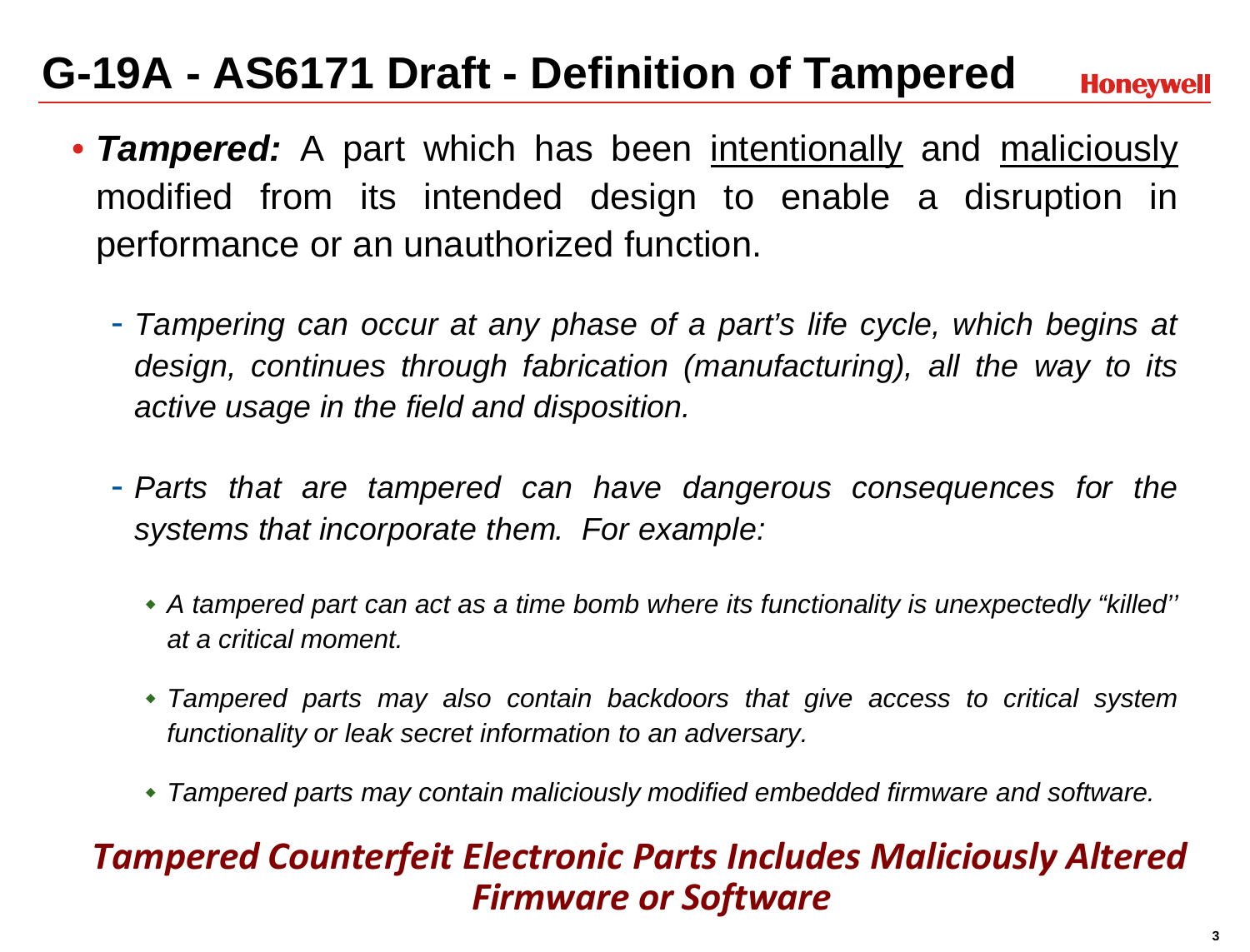## **G-19A - AS6171 Draft - Definition of Tampered**

**Honeywell** 

- *Tampered:* A part which has been intentionally and maliciously modified from its intended design to enable a disruption in performance or an unauthorized function.
	- *Tampering can occur at any phase of a part's life cycle, which begins at design, continues through fabrication (manufacturing), all the way to its active usage in the field and disposition.*
	- *Parts that are tampered can have dangerous consequences for the systems that incorporate them. For example:*
		- *A tampered part can act as a time bomb where its functionality is unexpectedly "killed'' at a critical moment.*
		- *Tampered parts may also contain backdoors that give access to critical system functionality or leak secret information to an adversary.*
		- *Tampered parts may contain maliciously modified embedded firmware and software.*

#### *Tampered Counterfeit Electronic Parts Includes Maliciously Altered Firmware or Software*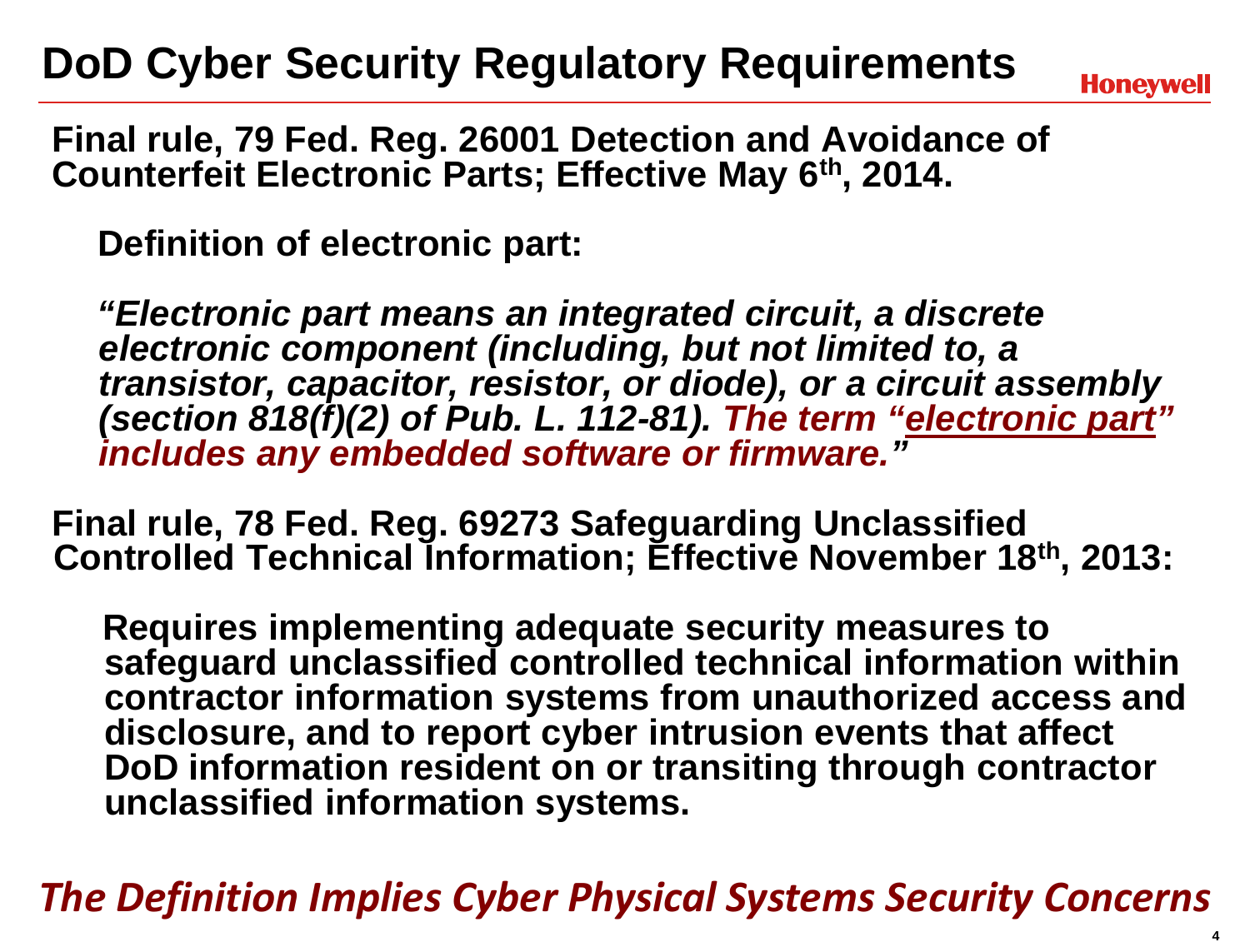## **DoD Cyber Security Regulatory Requirements**

**Honeywell** 

**Final rule, 79 Fed. Reg. 26001 Detection and Avoidance of Counterfeit Electronic Parts; Effective May 6th, 2014.**

**Definition of electronic part:**

*"Electronic part means an integrated circuit, a discrete electronic component (including, but not limited to, a transistor, capacitor, resistor, or diode), or a circuit assembly (section 818(f)(2) of Pub. L. 112-81). The term "electronic part" includes any embedded software or firmware."*

**Final rule, 78 Fed. Reg. 69273 Safeguarding Unclassified Controlled Technical Information; Effective November 18th, 2013:**

**Requires implementing adequate security measures to safeguard unclassified controlled technical information within contractor information systems from unauthorized access and disclosure, and to report cyber intrusion events that affect DoD information resident on or transiting through contractor unclassified information systems.**

*The Definition Implies Cyber Physical Systems Security Concerns*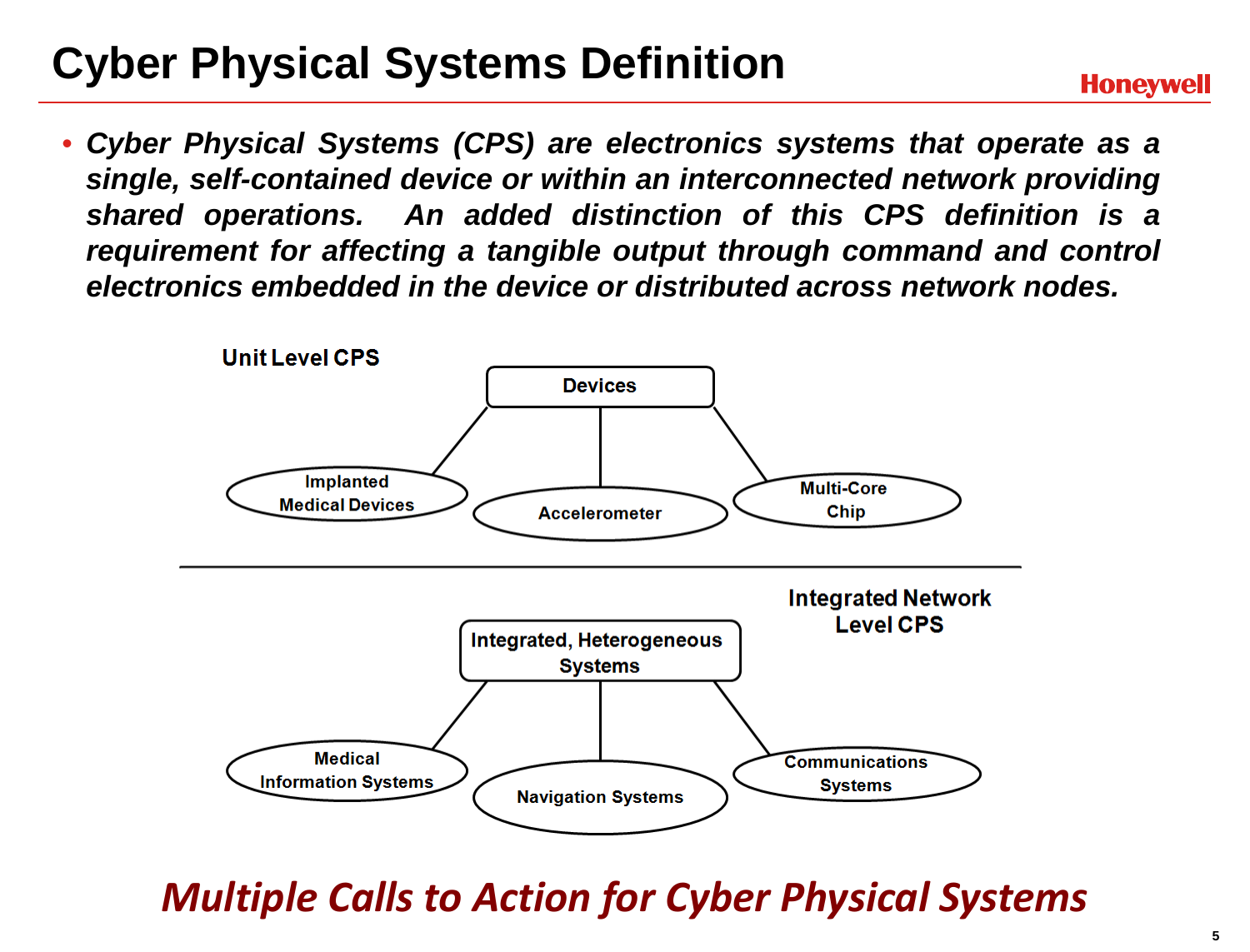## **Cyber Physical Systems Definition**

• *Cyber Physical Systems (CPS) are electronics systems that operate as a single, self-contained device or within an interconnected network providing shared operations. An added distinction of this CPS definition is a requirement for affecting a tangible output through command and control electronics embedded in the device or distributed across network nodes.*



*Multiple Calls to Action for Cyber Physical Systems*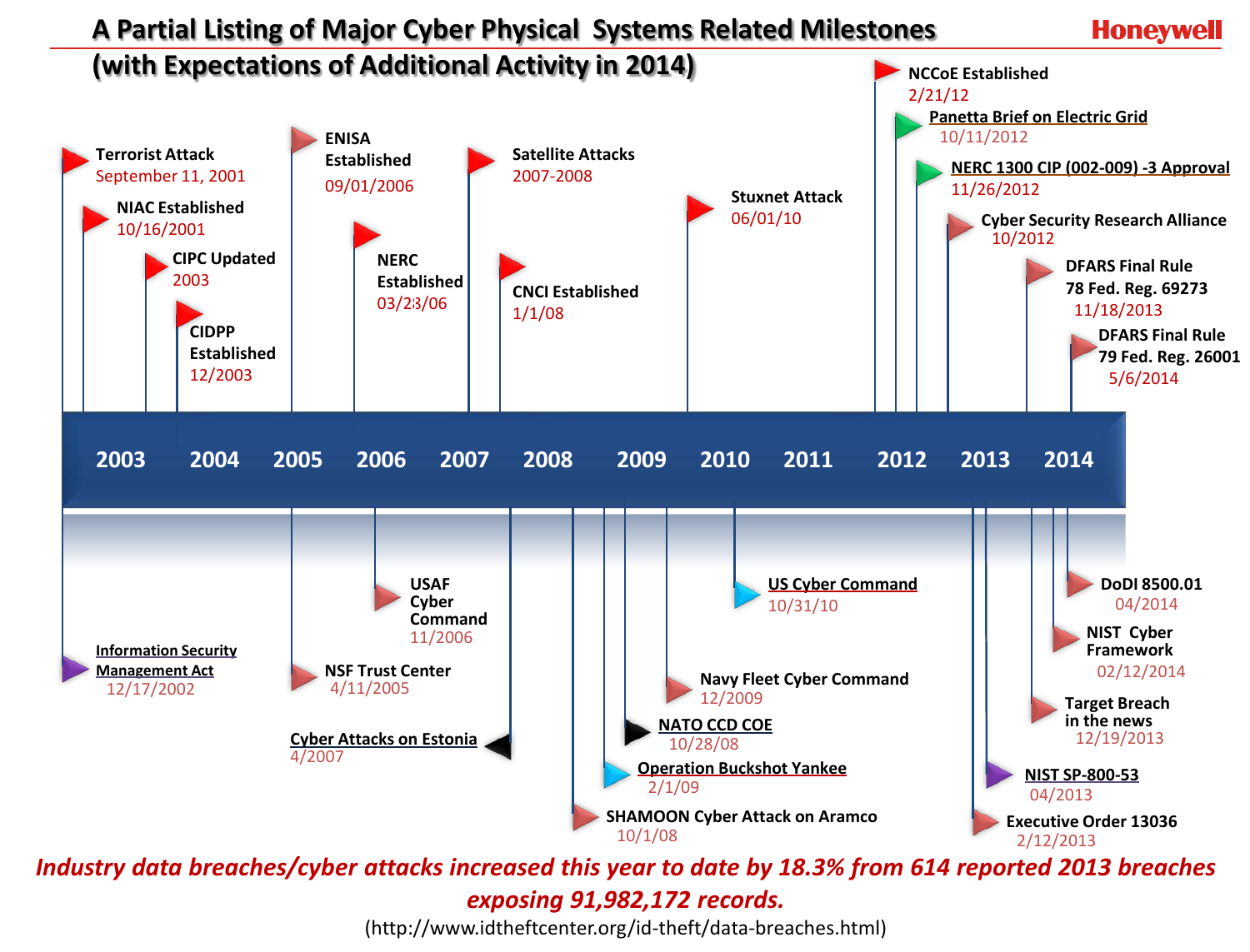

*Industry data breaches/cyber attacks increased this year to date by 18.3% from 614 reported 2013 breaches exposing 91,982,172 records.*

(http://www.idtheftcenter.org/id-theft/data-breaches.html)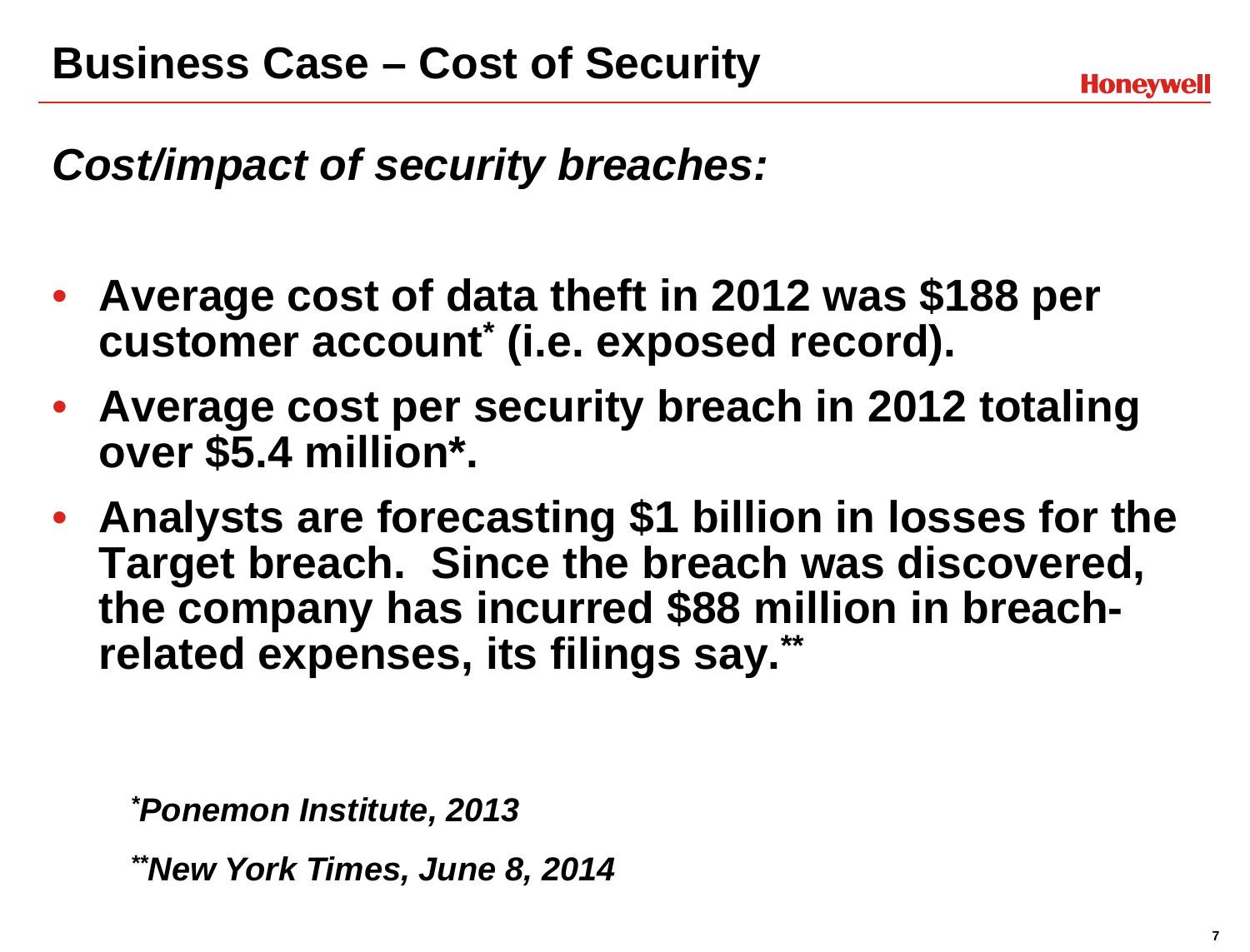*Cost/impact of security breaches:*

- **Average cost of data theft in 2012 was \$188 per customer account\* (i.e. exposed record).**
- **Average cost per security breach in 2012 totaling over \$5.4 million\*.**
- **Analysts are forecasting \$1 billion in losses for the Target breach. Since the breach was discovered, the company has incurred \$88 million in breachrelated expenses, its filings say.\*\***

*\* Ponemon Institute, 2013*

*\*\*New York Times, June 8, 2014*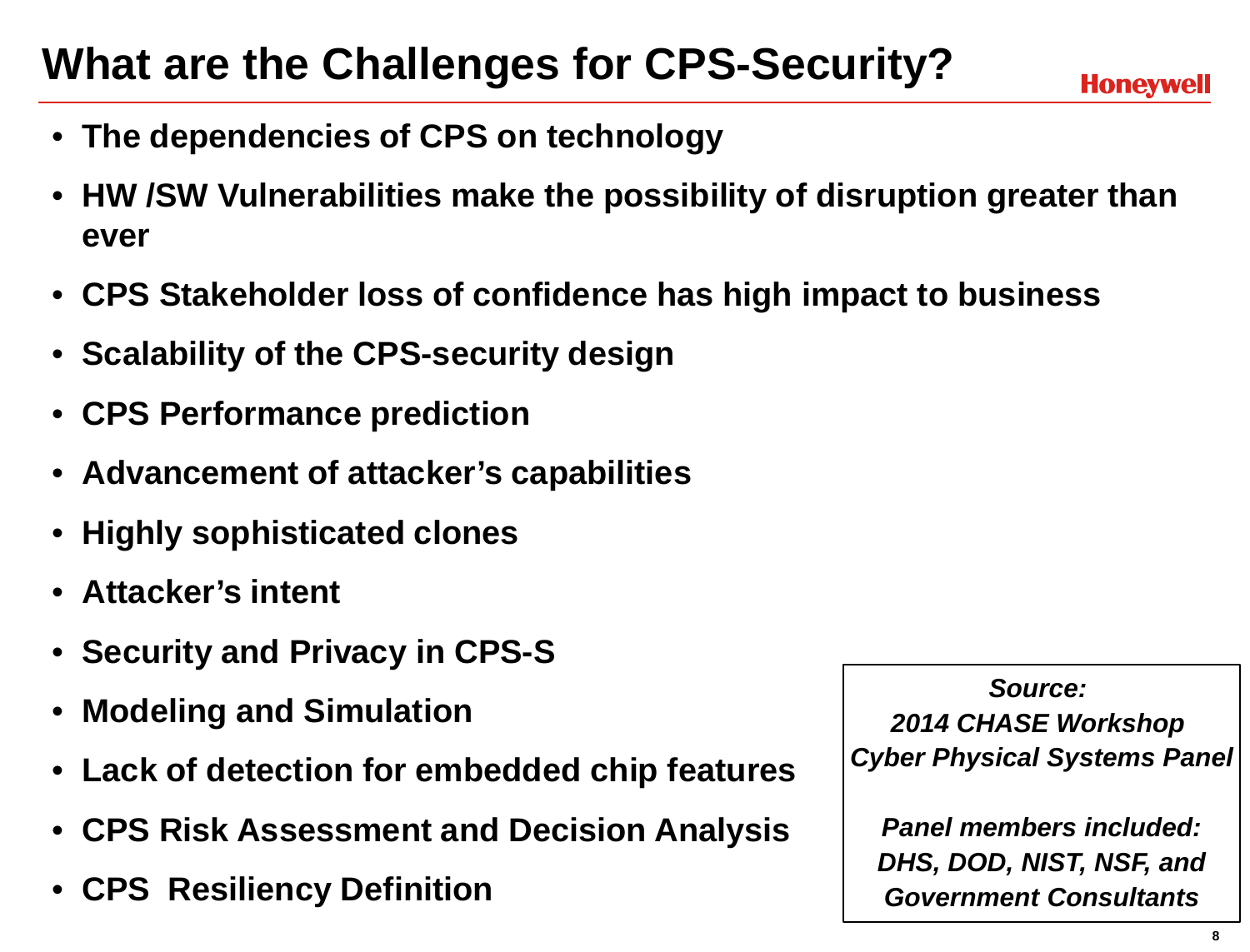## **What are the Challenges for CPS-Security?**

- **The dependencies of CPS on technology**
- **HW /SW Vulnerabilities make the possibility of disruption greater than ever**
- **CPS Stakeholder loss of confidence has high impact to business**
- **Scalability of the CPS-security design**
- **CPS Performance prediction**
- **Advancement of attacker's capabilities**
- **Highly sophisticated clones**
- **Attacker's intent**
- **Security and Privacy in CPS-S**
- **Modeling and Simulation**
- **Lack of detection for embedded chip features**
- **CPS Risk Assessment and Decision Analysis**
- **CPS Resiliency Definition**

*Source: 2014 CHASE Workshop Cyber Physical Systems Panel*

*Panel members included: DHS, DOD, NIST, NSF, and Government Consultants*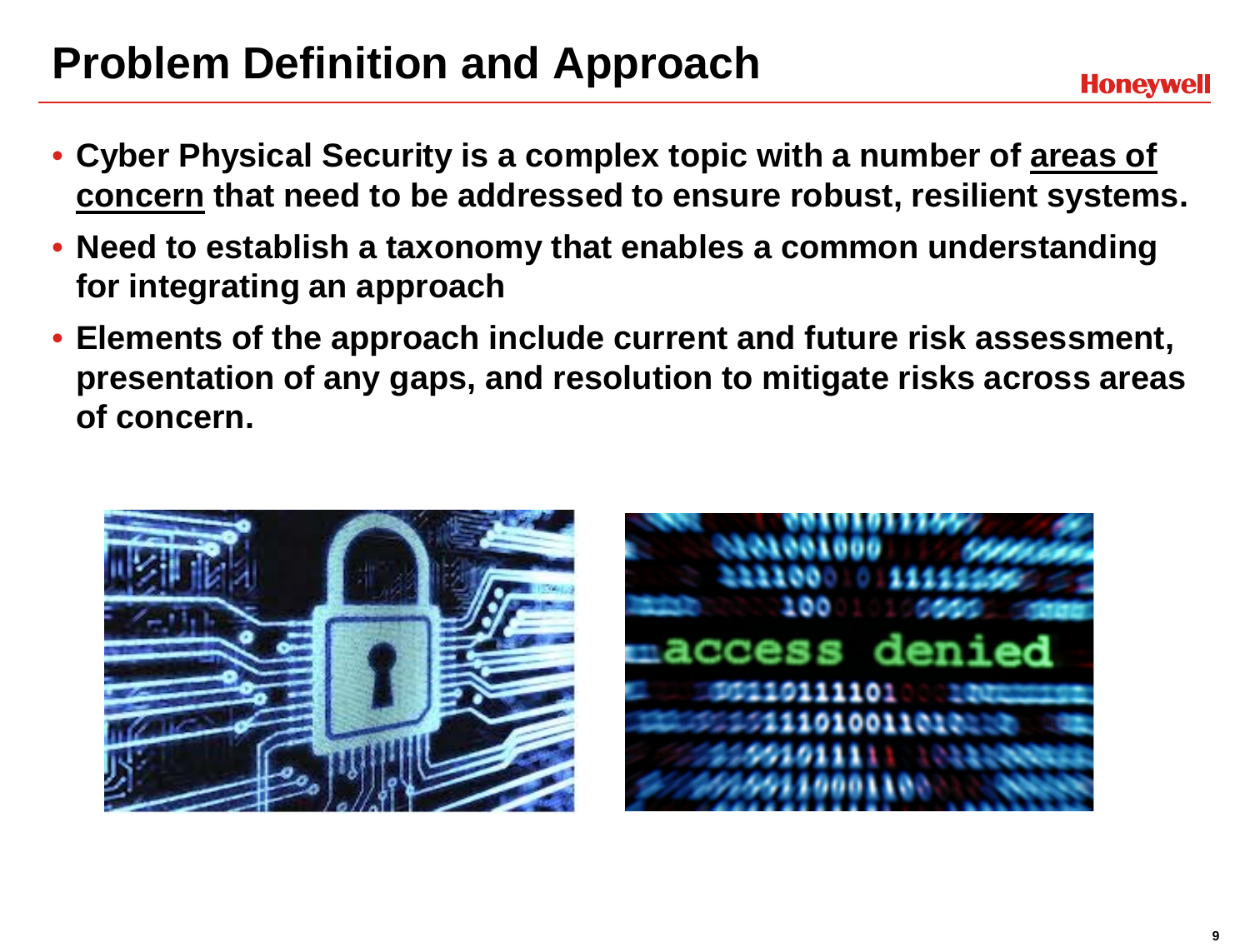## **Problem Definition and Approach**

- **Cyber Physical Security is a complex topic with a number of areas of concern that need to be addressed to ensure robust, resilient systems.**
- **Need to establish a taxonomy that enables a common understanding for integrating an approach**
- **Elements of the approach include current and future risk assessment, presentation of any gaps, and resolution to mitigate risks across areas of concern.**



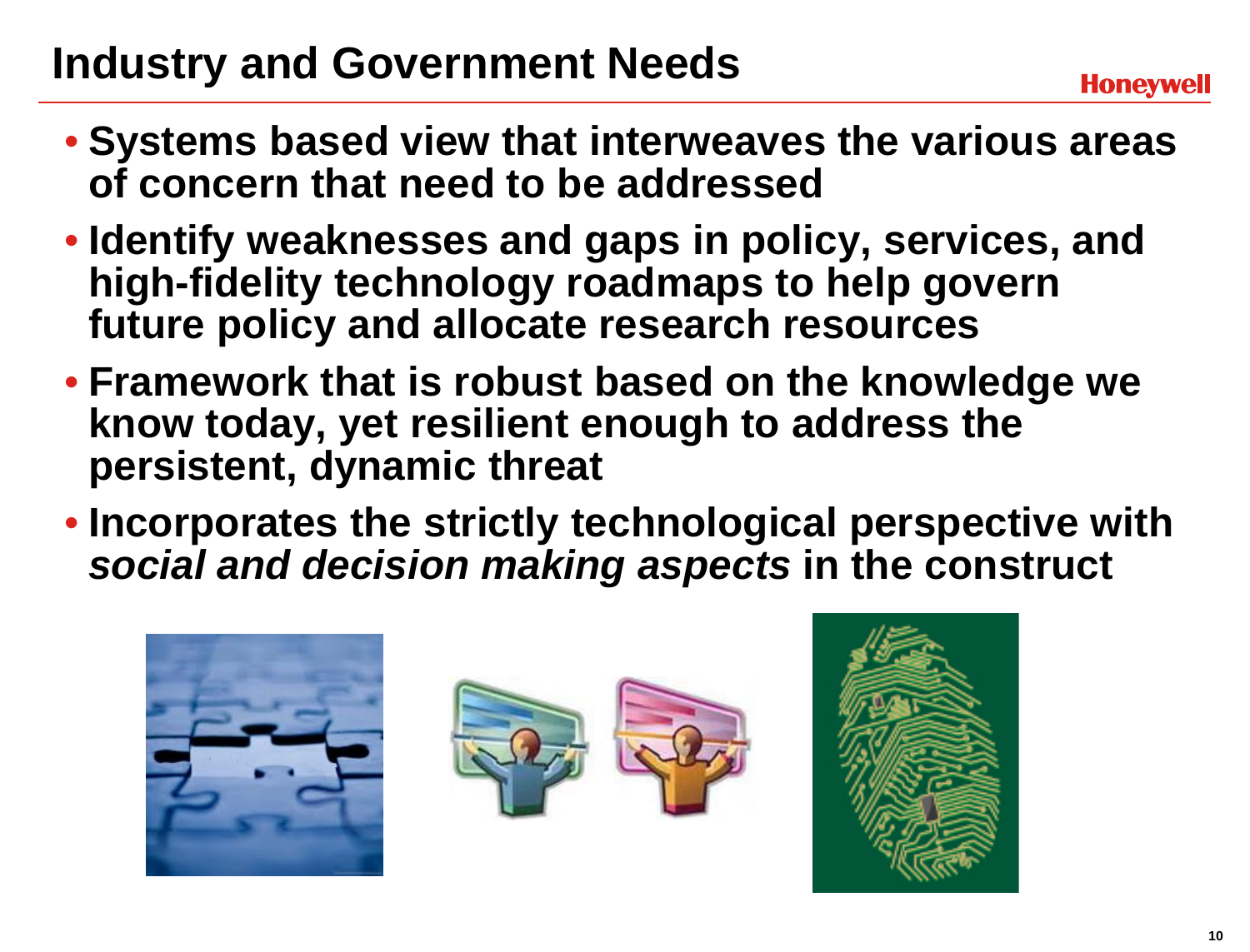## **Industry and Government Needs**

- **Systems based view that interweaves the various areas of concern that need to be addressed**
- **Identify weaknesses and gaps in policy, services, and high-fidelity technology roadmaps to help govern future policy and allocate research resources**
- **Framework that is robust based on the knowledge we know today, yet resilient enough to address the persistent, dynamic threat**
- **Incorporates the strictly technological perspective with**  *social and decision making aspects* **in the construct**

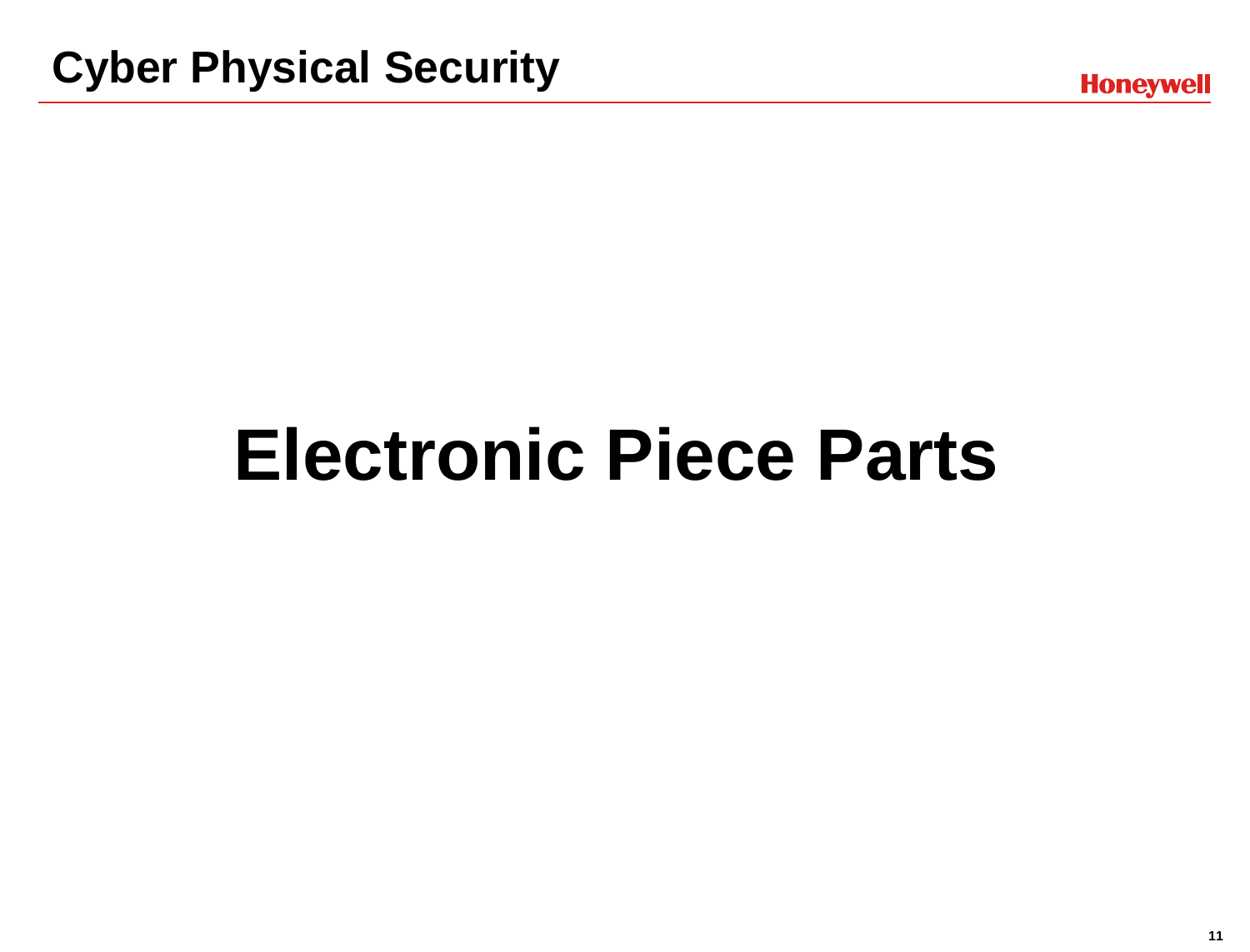## **Electronic Piece Parts**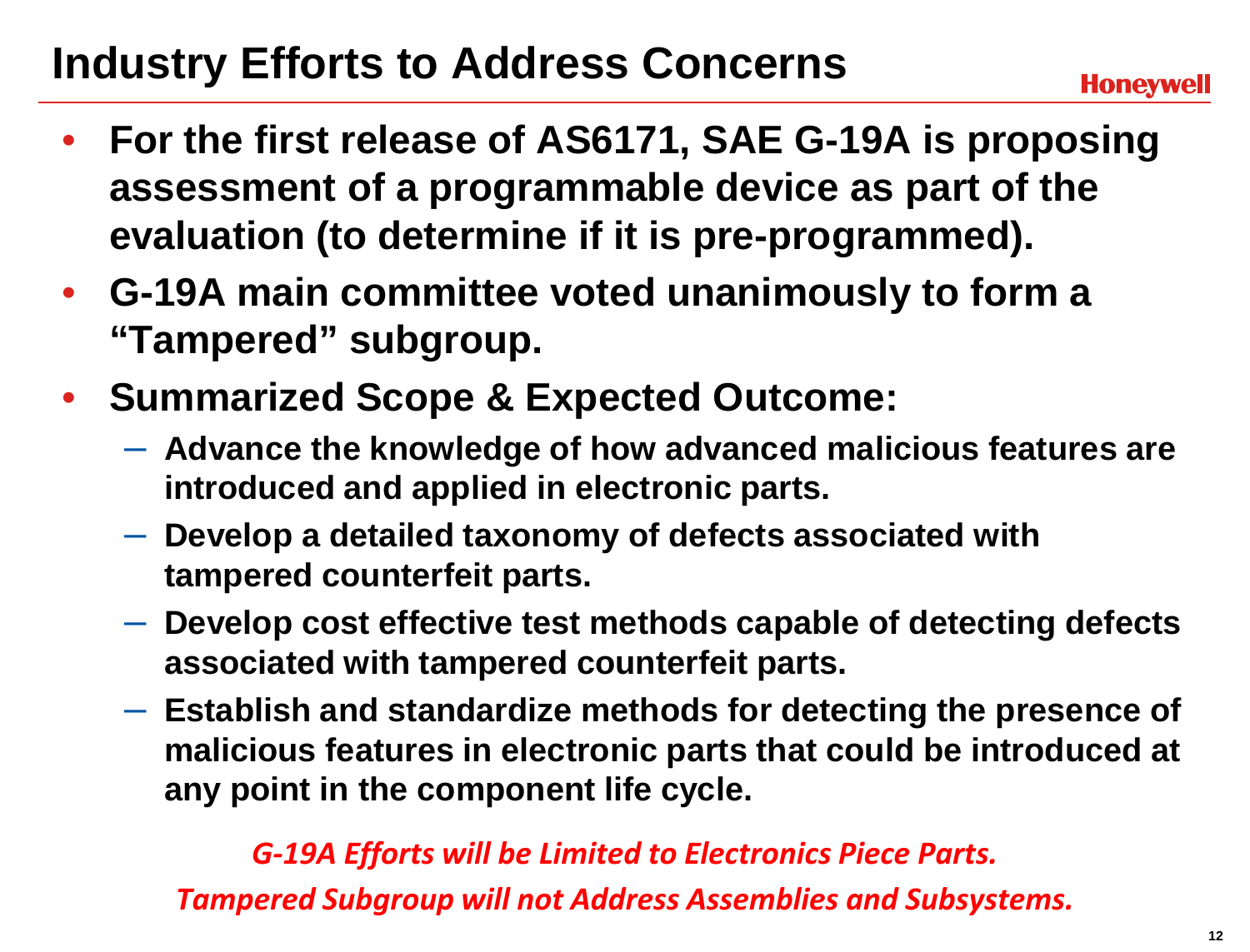## **Industry Efforts to Address Concerns**

- **For the first release of AS6171, SAE G-19A is proposing assessment of a programmable device as part of the evaluation (to determine if it is pre-programmed).**
- **G-19A main committee voted unanimously to form a "Tampered" subgroup.**
- **Summarized Scope & Expected Outcome:**
	- **Advance the knowledge of how advanced malicious features are introduced and applied in electronic parts.**
	- **Develop a detailed taxonomy of defects associated with tampered counterfeit parts.**
	- **Develop cost effective test methods capable of detecting defects associated with tampered counterfeit parts.**
	- **Establish and standardize methods for detecting the presence of malicious features in electronic parts that could be introduced at any point in the component life cycle.**

#### *G-19A Efforts will be Limited to Electronics Piece Parts.*

*Tampered Subgroup will not Address Assemblies and Subsystems.*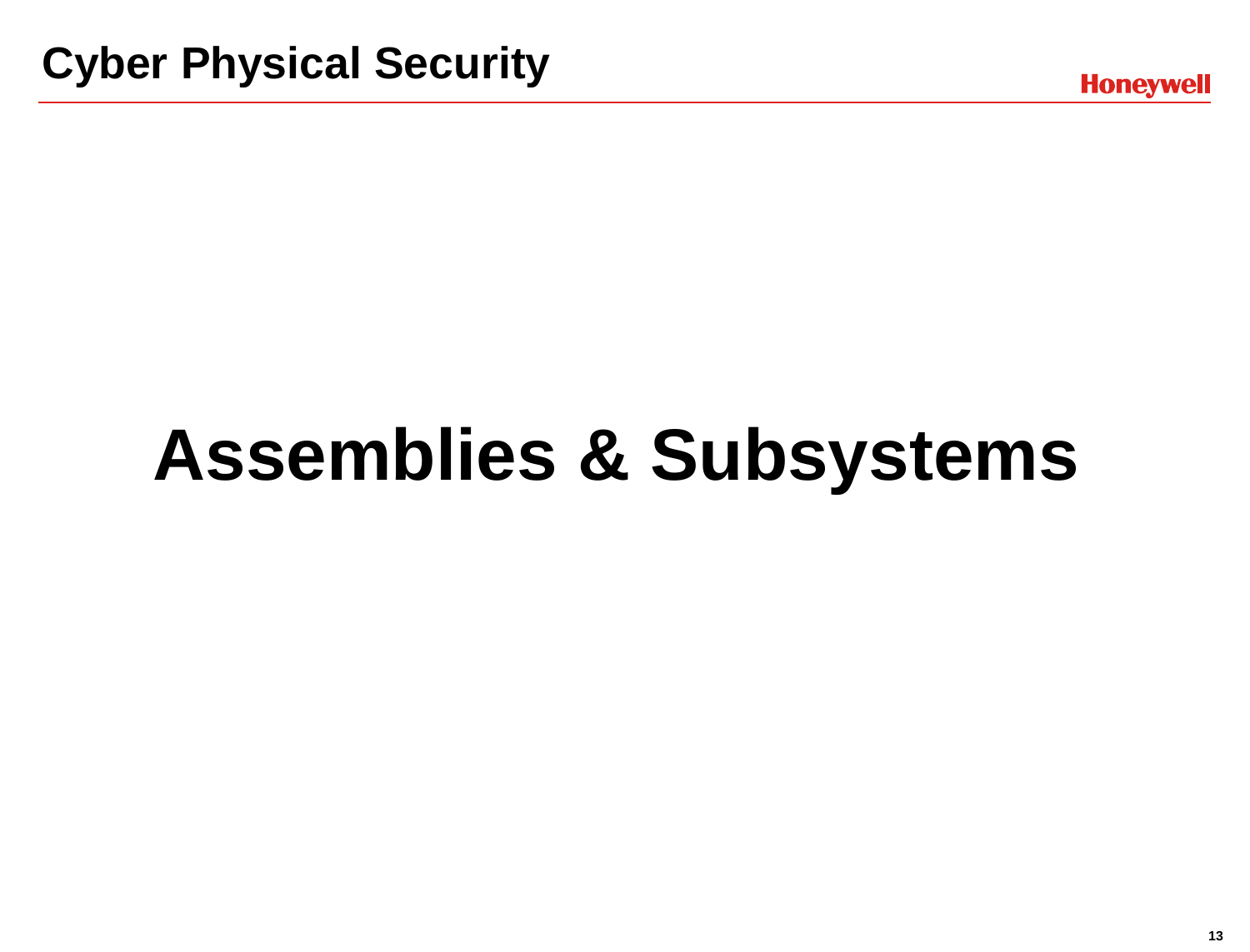# **Assemblies & Subsystems**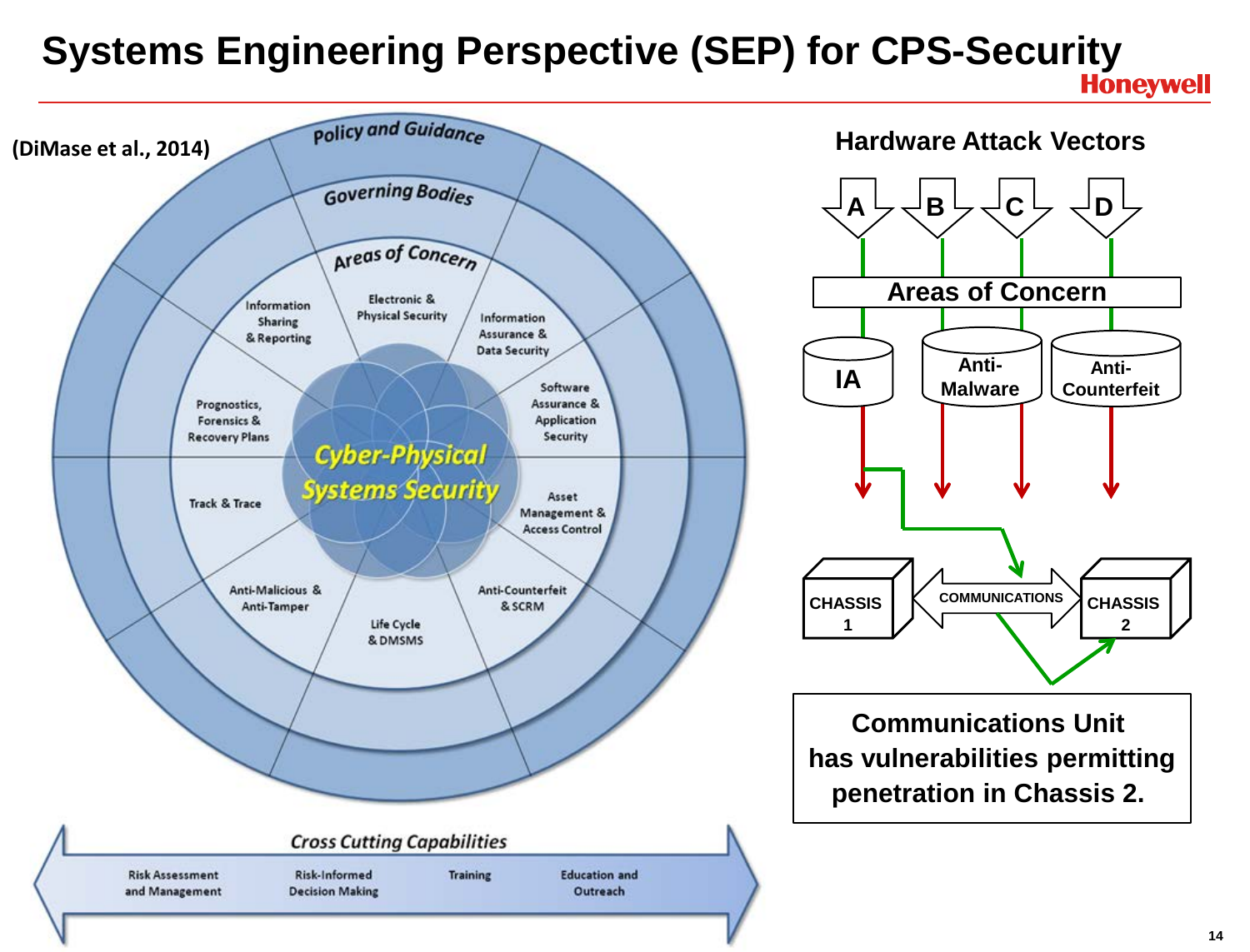## **Systems Engineering Perspective (SEP) for CPS-Security**

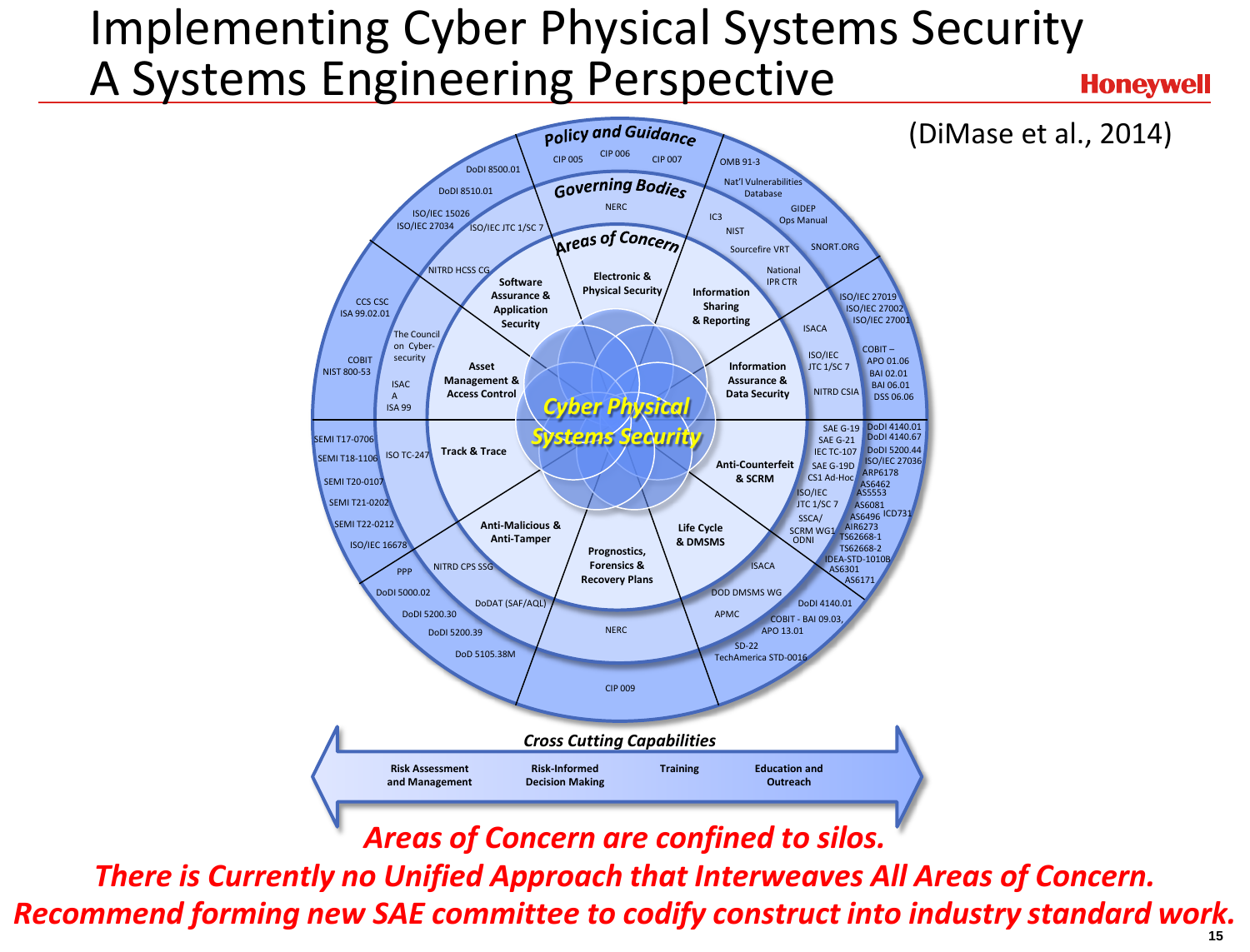#### Implementing Cyber Physical Systems Security A Systems Engineering Perspective **Honeywell**



*Areas of Concern are confined to silos.*

*There is Currently no Unified Approach that Interweaves All Areas of Concern. Recommend forming new SAE committee to codify construct into industry standard work.*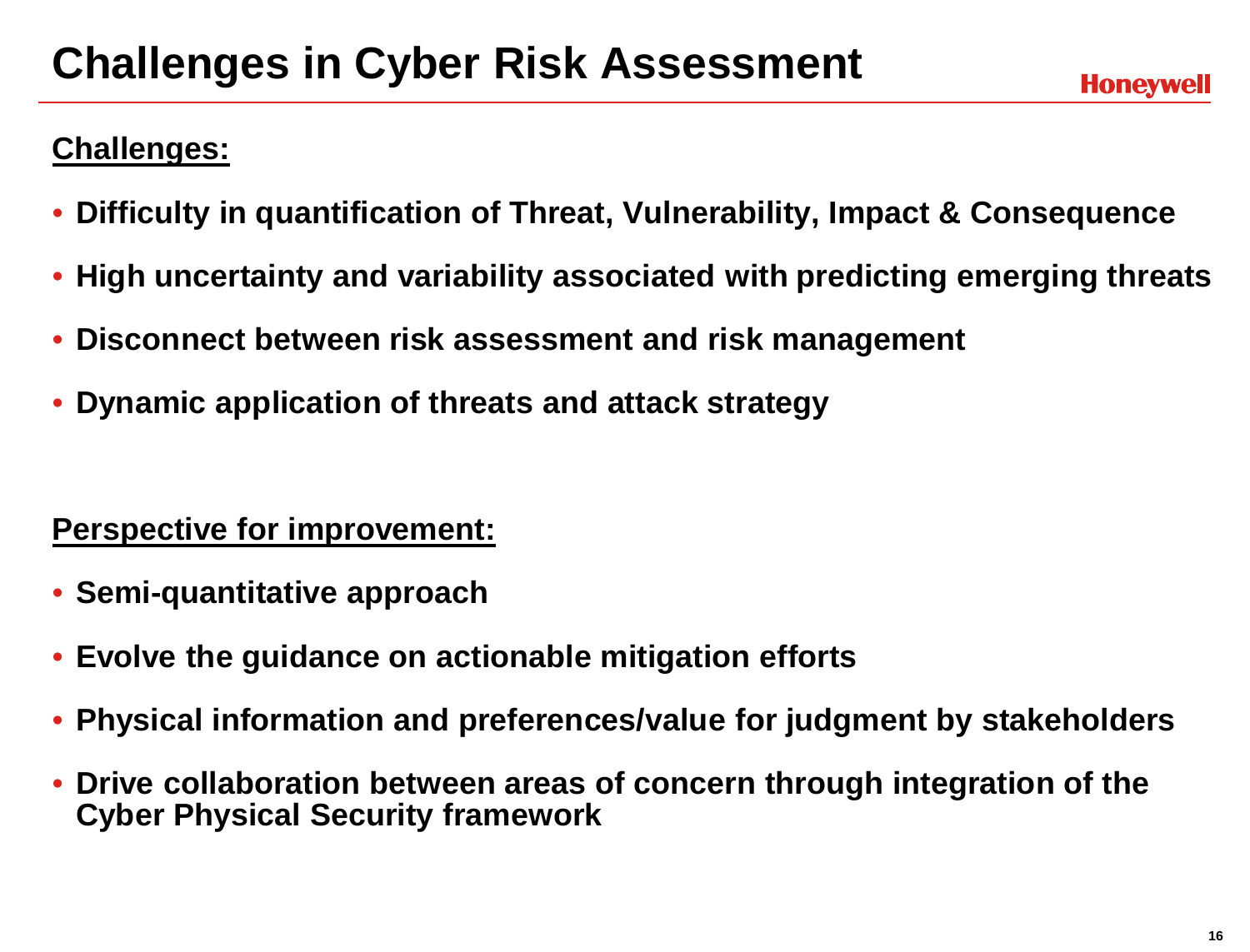## **Challenges in Cyber Risk Assessment**

#### **Challenges:**

- **Difficulty in quantification of Threat, Vulnerability, Impact & Consequence**
- **High uncertainty and variability associated with predicting emerging threats**
- **Disconnect between risk assessment and risk management**
- **Dynamic application of threats and attack strategy**

#### **Perspective for improvement:**

- **Semi-quantitative approach**
- **Evolve the guidance on actionable mitigation efforts**
- **Physical information and preferences/value for judgment by stakeholders**
- **Drive collaboration between areas of concern through integration of the Cyber Physical Security framework**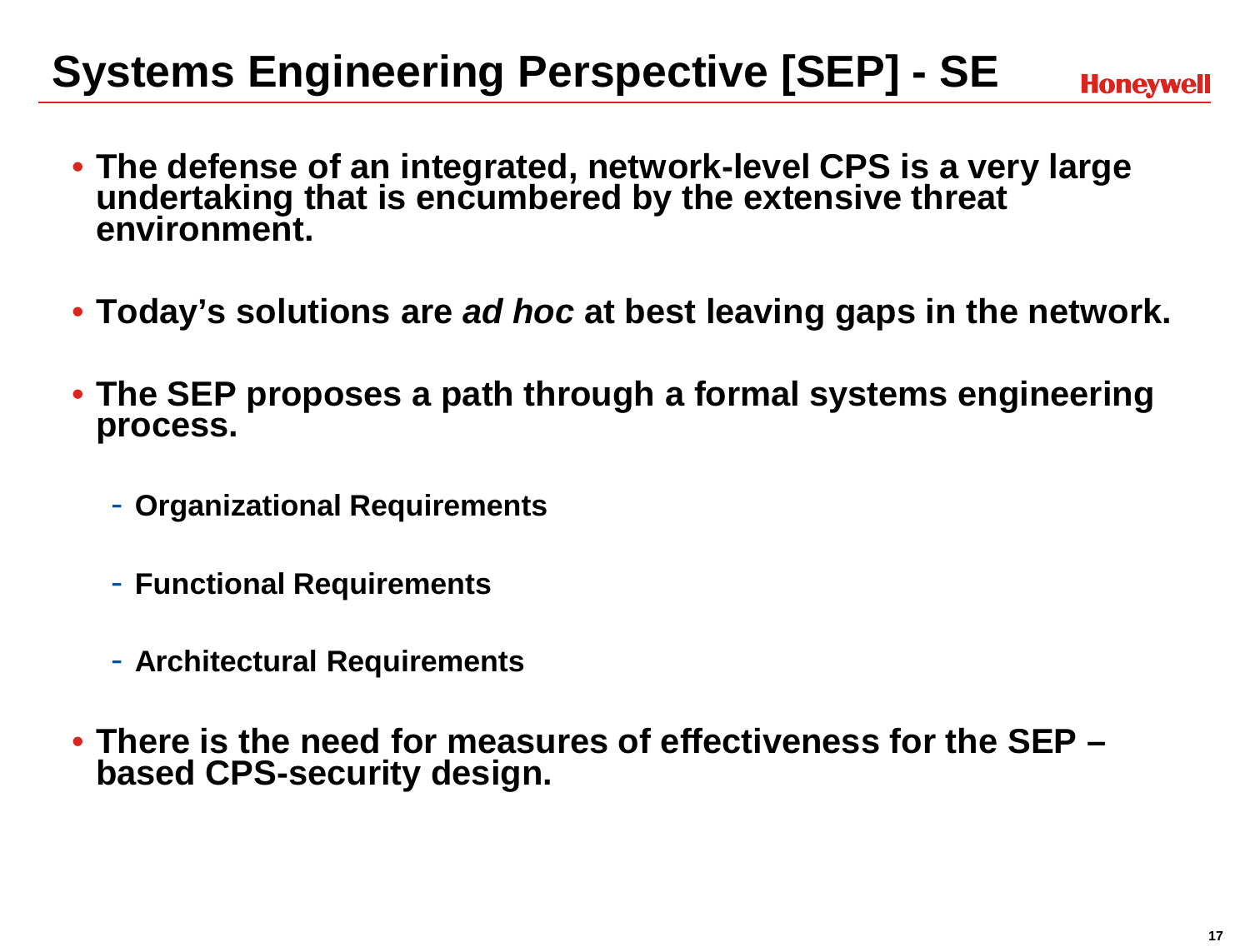## **Systems Engineering Perspective [SEP] - SE**

**Honeywell** 

- **The defense of an integrated, network-level CPS is a very large undertaking that is encumbered by the extensive threat environment.**
- **Today's solutions are** *ad hoc* **at best leaving gaps in the network.**
- **The SEP proposes a path through a formal systems engineering process.**
	- **Organizational Requirements**
	- **Functional Requirements**
	- **Architectural Requirements**
- **There is the need for measures of effectiveness for the SEP – based CPS-security design.**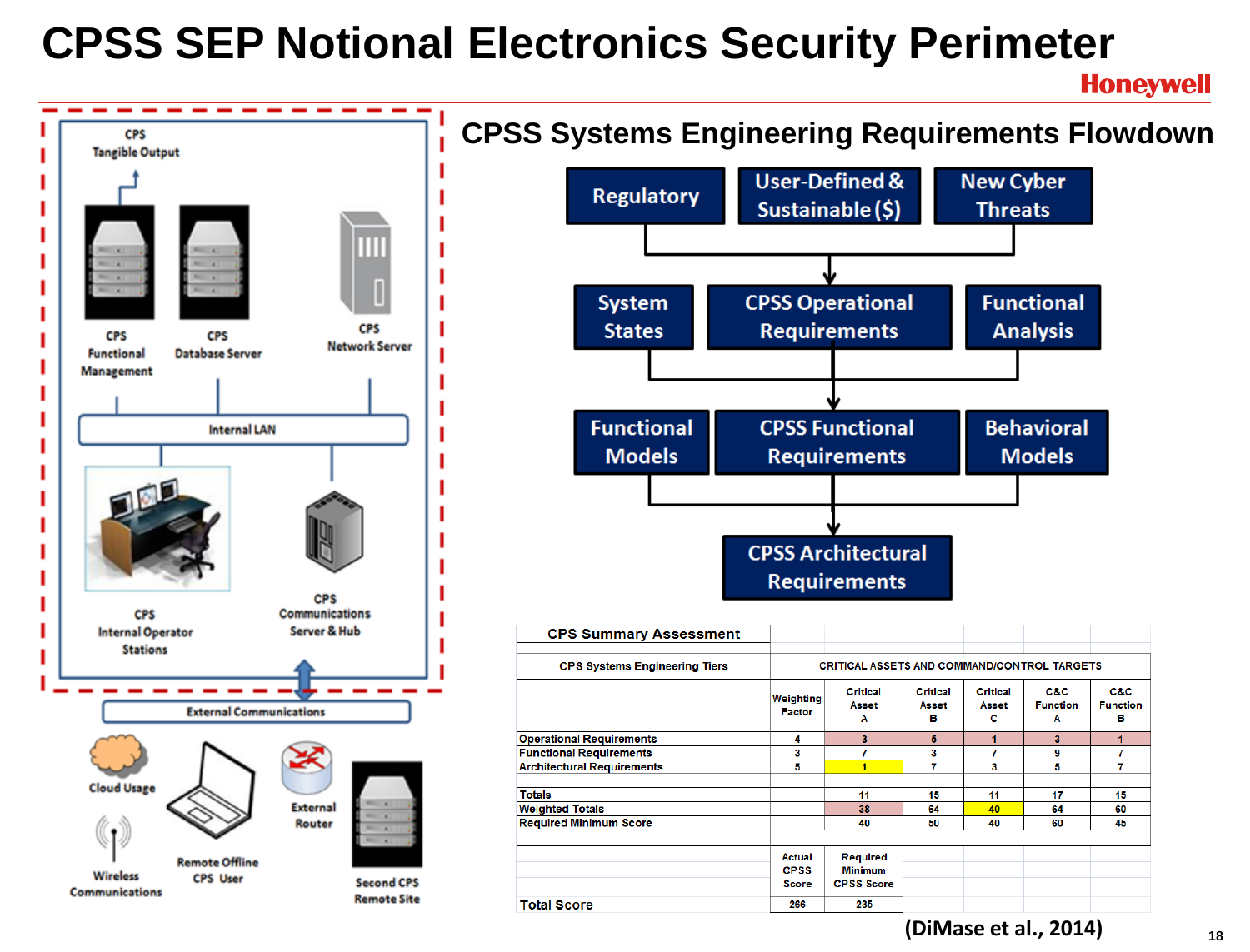## **CPSS SEP Notional Electronics Security Perimeter**

**Honeywell** 

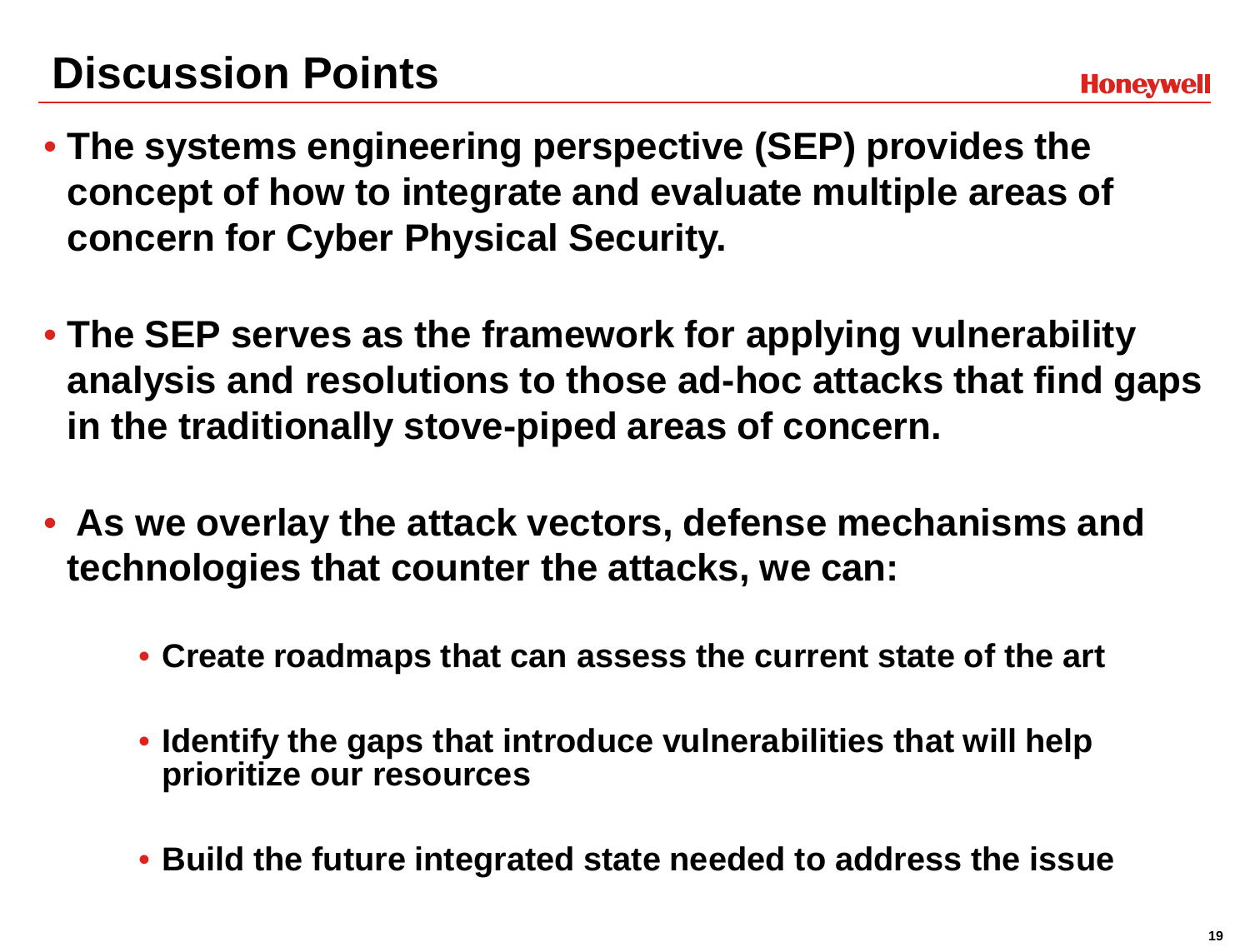- **The systems engineering perspective (SEP) provides the concept of how to integrate and evaluate multiple areas of concern for Cyber Physical Security.**
- **The SEP serves as the framework for applying vulnerability analysis and resolutions to those ad-hoc attacks that find gaps in the traditionally stove-piped areas of concern.**
- **As we overlay the attack vectors, defense mechanisms and technologies that counter the attacks, we can:**
	- **Create roadmaps that can assess the current state of the art**
	- **Identify the gaps that introduce vulnerabilities that will help prioritize our resources**
	- **Build the future integrated state needed to address the issue**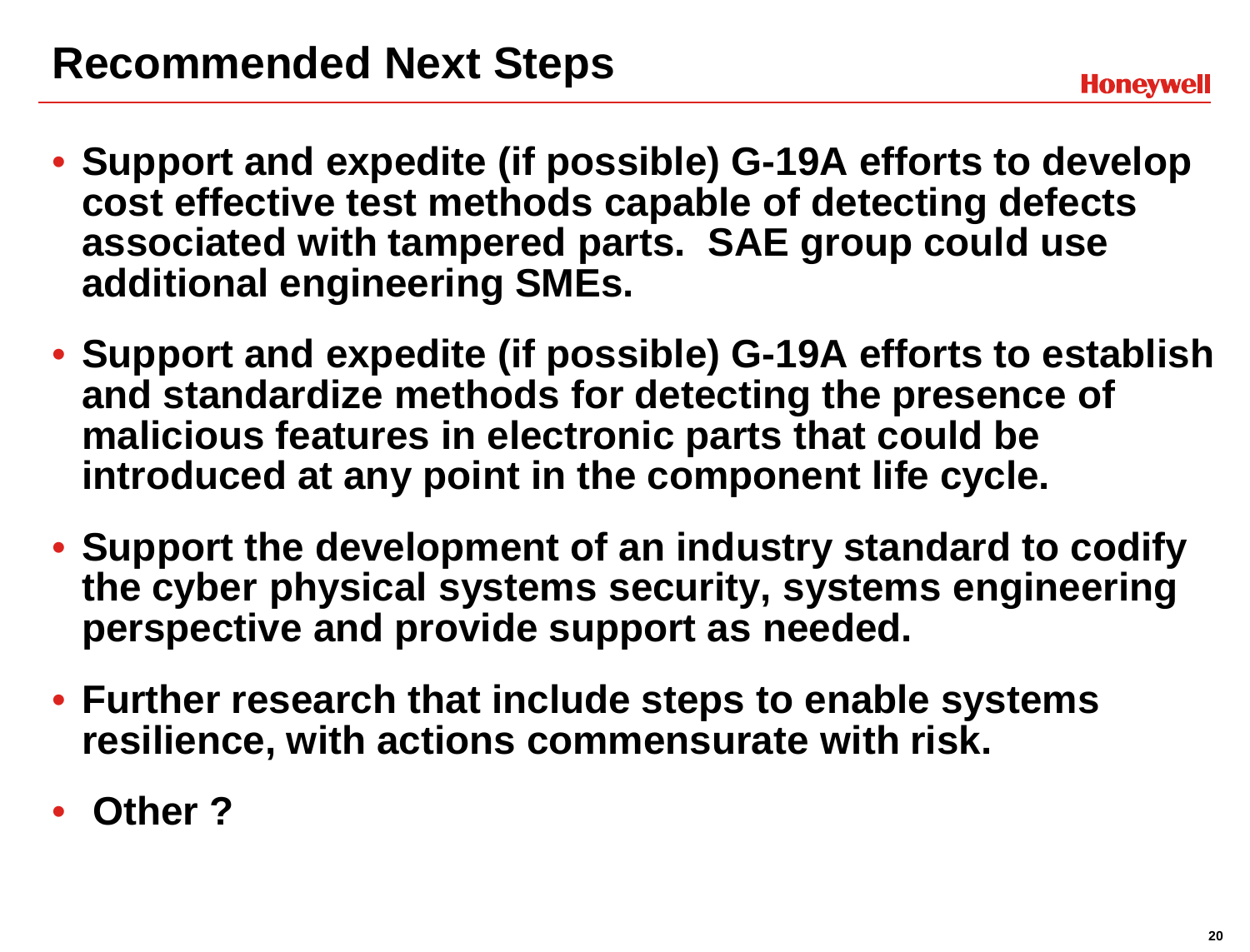- **Support and expedite (if possible) G-19A efforts to develop cost effective test methods capable of detecting defects associated with tampered parts. SAE group could use additional engineering SMEs.**
- **Support and expedite (if possible) G-19A efforts to establish and standardize methods for detecting the presence of malicious features in electronic parts that could be introduced at any point in the component life cycle.**
- **Support the development of an industry standard to codify the cyber physical systems security, systems engineering perspective and provide support as needed.**
- **Further research that include steps to enable systems resilience, with actions commensurate with risk.**
- **Other ?**